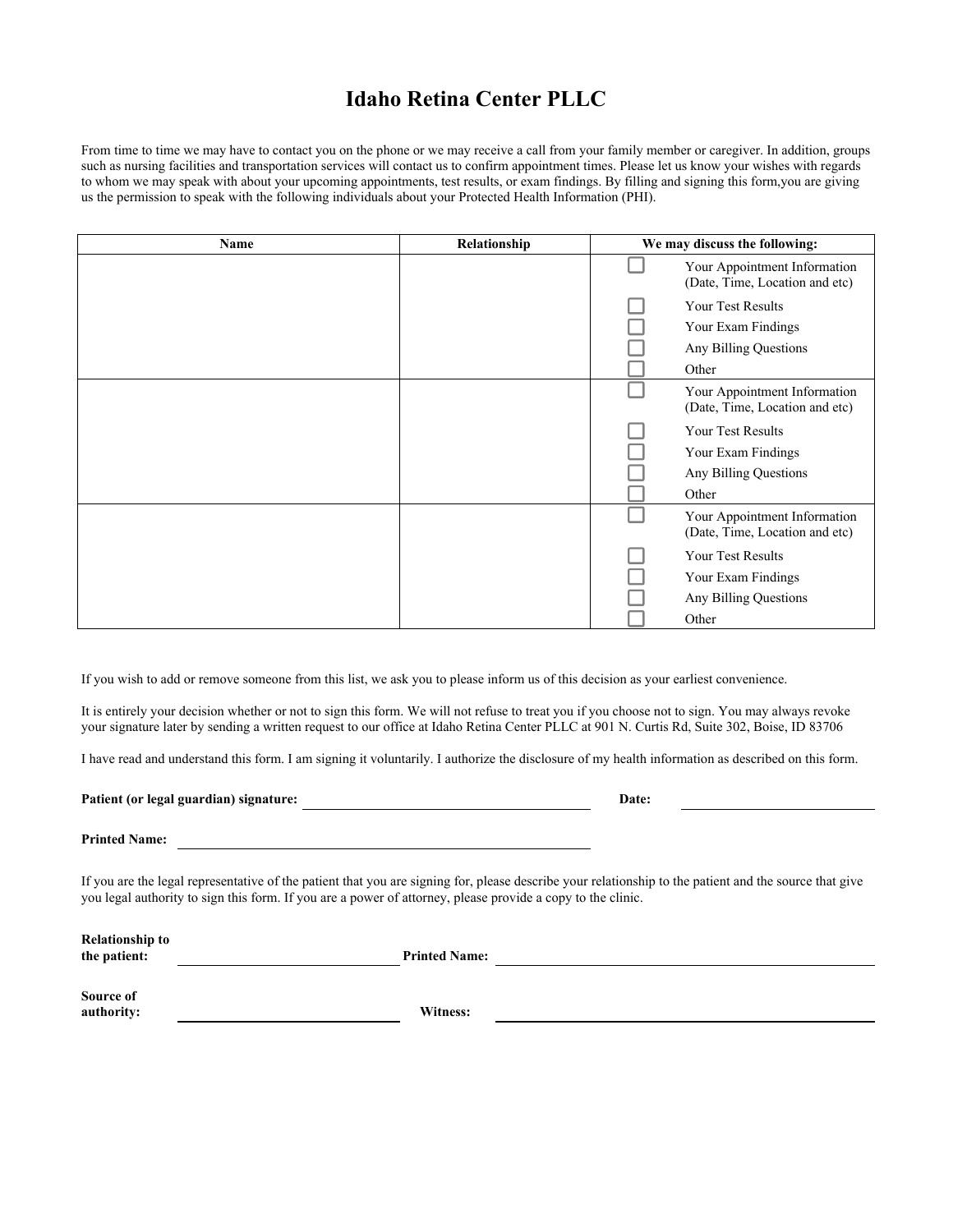## **Idaho Retina Center PLLC**

From time to time we may have to contact you on the phone or we may receive a call from your family member or caregiver. In addition, groups such as nursing facilities and transportation services will contact us to confirm appointment times. Please let us know your wishes with regards to whom we may speak with about your upcoming appointments, test results, or exam findings. By filling and signing this form,you are giving us the permission to speak with the following individuals about your Protected Health Information (PHI).

| Name | Relationship | We may discuss the following: |                                                                                  |
|------|--------------|-------------------------------|----------------------------------------------------------------------------------|
|      |              |                               | Your Appointment Information<br>(Date, Time, Location and etc)                   |
|      |              |                               | Your Test Results<br>Your Exam Findings<br>Any Billing Questions<br>Other        |
|      |              |                               | Your Appointment Information<br>(Date, Time, Location and etc)                   |
|      |              |                               | <b>Your Test Results</b><br>Your Exam Findings<br>Any Billing Questions<br>Other |
|      |              |                               | Your Appointment Information<br>(Date, Time, Location and etc)                   |
|      |              |                               | Your Test Results<br>Your Exam Findings<br>Any Billing Questions<br>Other        |

If you wish to add or remove someone from this list, we ask you to please inform us of this decision as your earliest convenience.

<u> 1989 - Johann Barbara, martxa alemaniar amerikan basar da a</u>

It is entirely your decision whether or not to sign this form. We will not refuse to treat you if you choose not to sign. You may always revoke your signature later by sending a written request to our office at Idaho Retina Center PLLC at 901 N. Curtis Rd, Suite 302, Boise, ID 83706

I have read and understand this form. I am signing it voluntarily. I authorize the disclosure of my health information as described on this form.

Patient (or legal guardian) signature: Date:

**Printed Name:** 

If you are the legal representative of the patient that you are signing for, please describe your relationship to the patient and the source that give you legal authority to sign this form. If you are a power of attorney, please provide a copy to the clinic.

| <b>Relationship to</b><br>the patient: | <b>Printed Name:</b> |
|----------------------------------------|----------------------|
| Source of<br>authority:                | Witness:             |